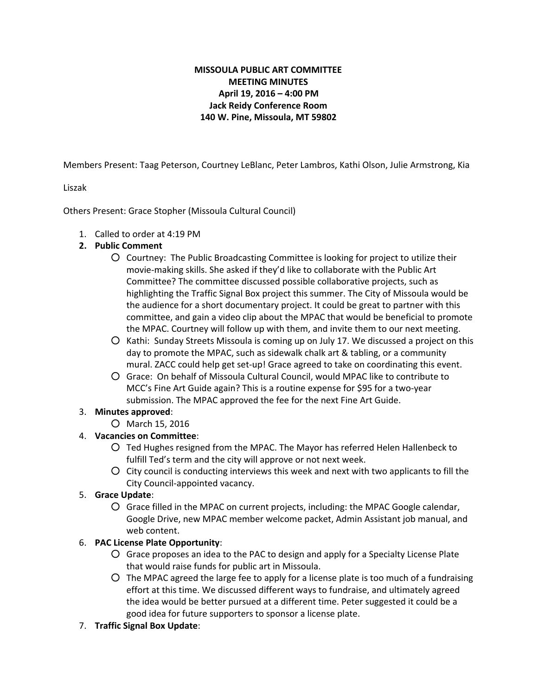# **MISSOULA PUBLIC ART COMMITTEE MEETING MINUTES April 19, 2016 – 4:00 PM Jack Reidy Conference Room 140 W. Pine, Missoula, MT 59802**

Members Present: Taag Peterson, Courtney LeBlanc, Peter Lambros, Kathi Olson, Julie Armstrong, Kia

#### Liszak

Others Present: Grace Stopher (Missoula Cultural Council)

- 1. Called to order at 4:19 PM
- **2. Public Comment**
	- Courtney: The Public Broadcasting Committee is looking for project to utilize their movie-making skills. She asked if they'd like to collaborate with the Public Art Committee? The committee discussed possible collaborative projects, such as highlighting the Traffic Signal Box project this summer. The City of Missoula would be the audience for a short documentary project. It could be great to partner with this committee, and gain a video clip about the MPAC that would be beneficial to promote the MPAC. Courtney will follow up with them, and invite them to our next meeting.
	- Kathi: Sunday Streets Missoula is coming up on July 17. We discussed a project on this day to promote the MPAC, such as sidewalk chalk art & tabling, or a community mural. ZACC could help get set-up! Grace agreed to take on coordinating this event.
	- Grace: On behalf of Missoula Cultural Council, would MPAC like to contribute to MCC's Fine Art Guide again? This is a routine expense for \$95 for a two-year submission. The MPAC approved the fee for the next Fine Art Guide.

#### 3. **Minutes approved**:

○ March 15, 2016

## 4. **Vacancies on Committee**:

- Ted Hughes resigned from the MPAC. The Mayor has referred Helen Hallenbeck to fulfill Ted's term and the city will approve or not next week.
- City council is conducting interviews this week and next with two applicants to fill the City Council-appointed vacancy.
- 5. **Grace Update**:
	- Grace filled in the MPAC on current projects, including: the MPAC Google calendar, Google Drive, new MPAC member welcome packet, Admin Assistant job manual, and web content.

## 6. **PAC License Plate Opportunity**:

- Grace proposes an idea to the PAC to design and apply for a Specialty License Plate that would raise funds for public art in Missoula.
- The MPAC agreed the large fee to apply for a license plate is too much of a fundraising effort at this time. We discussed different ways to fundraise, and ultimately agreed the idea would be better pursued at a different time. Peter suggested it could be a good idea for future supporters to sponsor a license plate.
- 7. **Traffic Signal Box Update**: